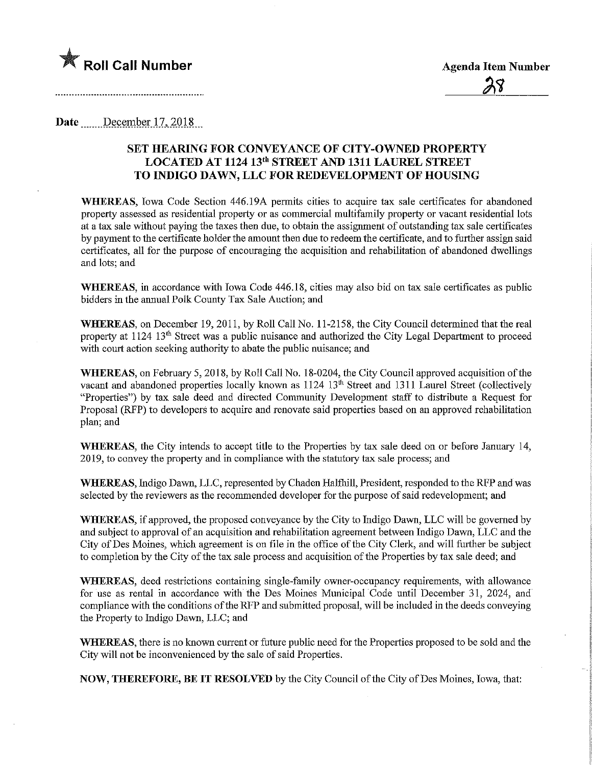

Date <u>.......December 17, 2018</u>

## SET HEARING FOR CONVEYANCE OF CITY-OWNED PROPERTY LOCATED AT 1124 13th STREET AND 1311 LAUREL STREET TO INDIGO DAWN, LLC FOR REDEVELOPMENT OF HOUSING

WHEREAS, Iowa Code Section 446.19A permits cities to acquire tax sale certificates for abandoned property assessed as residential property or as commercial multifamily property or vacant residential lots at a tax sale without paying the taxes then due, to obtain the assignment of outstanding tax sale certificates by payment to the certificate holder the amount then due to redeem the certificate, and to further assign said certificates, all for the purpose of encouraging the acquisition and rehabilitation of abandoned dwellings and lots; and

WHEREAS, in accordance with Iowa Code 446.18, cities may also bid on tax sale certificates as public bidders in the annual Polk County Tax Sale Auction; and

WHEREAS, on December 19, 2011, by Roll Call No. 11-2158, the City Council determined that the real property at 1124 13<sup>th</sup> Street was a public nuisance and authorized the City Legal Department to proceed with court action seeking authority to abate the public nuisance; and

WHEREAS, on February 5, 2018, by Roll Call No. 18-0204, the City Council approved acquisition of the vacant and abandoned properties locally known as 1124 13<sup>th</sup> Street and 1311 Laurel Street (collectively "Properties") by tax sale deed and directed Community Development staff to distribute a Request for Proposal (RFP) to developers to acquire and renovate said properties based on an approved rehabilitation plan; and

WHEREAS, the City intends to accept title to the Properties by tax sale deed on or before January 14, 2019, to convey the property and in compliance with the statxtory tax sale process; and

WHEREAS, Indigo Dawn, LLC, represented by Chaden Halfhill, President, responded to the RFP and was selected by the reviewers as the recommended developer for the purpose of said redevelopment; and

WHEREAS, if approved, the proposed conveyance by the City to Indigo Dawn, LLC will be governed by and subject to approval of an acquisition and rehabilitation agreement between Indigo Dawn, LLC and the City of Des Moines, which agreement is on file in the office of the City Clerk, and will further be subject to completion by the City of the tax sale process and acquisition of the Properties by tax sale deed; and

WHEREAS, deed restrictions containing single-family owner-occupancy requirements, with allowance for use as rental in accordance with the Des Moines Municipal Code until December 31, 2024, and compliance with the conditions of the RFP and submitted proposal, will be included m the deeds conveying the Property to Indigo Dawn, LLC; and

WHEREAS, there is no known current or future public need for the Properties proposed to be sold and the City will not be inconvenienced by the sale of said Properties.

NOW, THEREFORE, BE IT RESOLVED by the City Council of the City of Des Moines, Iowa, that: